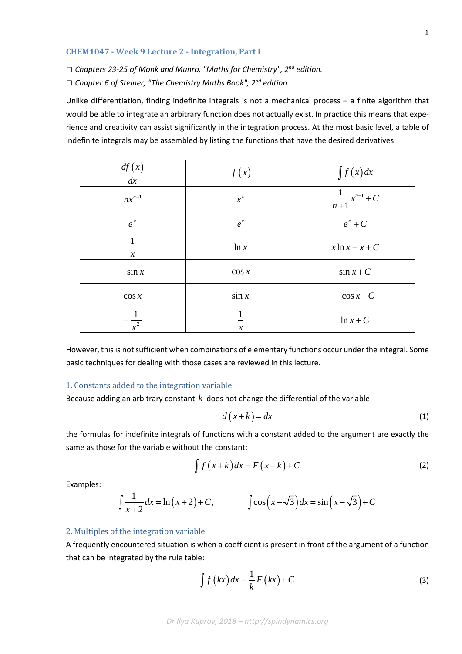#### **CHEM1047 - Week 9 Lecture 2 - Integration, Part I**

*□ Chapters 23-25 of Monk and Munro, "Maths for Chemistry", 2nd edition.*

*□ Chapter 6 of Steiner, "The Chemistry Maths Book", 2nd edition.*

Unlike differentiation, finding indefinite integrals is not a mechanical process – a finite algorithm that would be able to integrate an arbitrary function does not actually exist. In practice this means that experience and creativity can assist significantly in the integration process. At the most basic level, a table of indefinite integrals may be assembled by listing the functions that have the desired derivatives:

| df(x)<br>dx     | f(x)          | $\int f(x)dx$              |
|-----------------|---------------|----------------------------|
| $nx^{n-1}$      | $x^n$         | $\frac{1}{n+1}x^{n+1} + C$ |
| $e^{x}$         | $e^{x}$       | $e^x + C$                  |
| $\mathcal{X}$   | ln x          | $x \ln x - x + C$          |
| $-\sin x$       | $\cos x$      | $\sin x + C$               |
| $\cos x$        | $\sin x$      | $-\cos x + C$              |
| $\frac{1}{x^2}$ | $\mathcal{X}$ | $\ln x + C$                |

However, this is not sufficient when combinations of elementary functions occur under the integral. Some basic techniques for dealing with those cases are reviewed in this lecture.

### 1. Constants added to the integration variable

Because adding an arbitrary constant *k* does not change the differential of the variable

$$
d\left(x+k\right) = dx\tag{1}
$$

the formulas for indefinite integrals of functions with a constant added to the argument are exactly the same as those for the variable without the constant:

$$
\int f(x+k)dx = F(x+k) + C
$$
 (2)

Examples:

$$
\int \frac{1}{x+2} dx = \ln(x+2) + C, \qquad \int \cos(x - \sqrt{3}) dx = \sin(x - \sqrt{3}) + C
$$

#### 2. Multiples of the integration variable

A frequently encountered situation is when a coefficient is present in front of the argument of a function that can be integrated by the rule table:

$$
\int f\left(kx\right)dx = \frac{1}{k}F\left(kx\right) + C\tag{3}
$$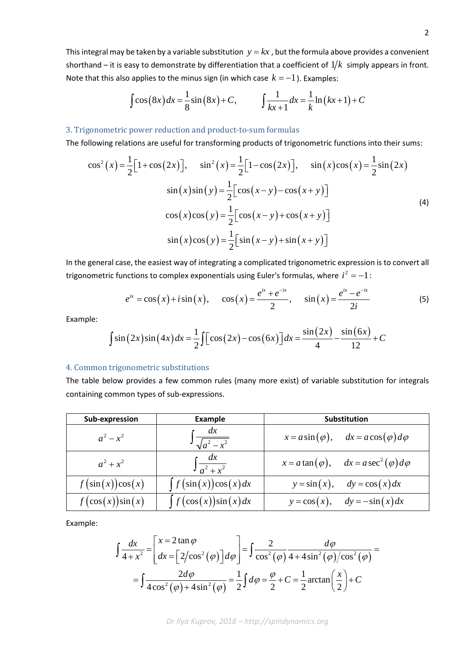This integral may be taken by a variable substitution  $y = kx$ , but the formula above provides a convenient shorthand – it is easy to demonstrate by differentiation that a coefficient of  $1/k$  simply appears in front. Note that this also applies to the minus sign (in which case  $k = -1$ ). Examples:

$$
\int \cos(8x) dx = \frac{1}{8}\sin(8x) + C, \qquad \int \frac{1}{kx+1} dx = \frac{1}{k}\ln(kx+1) + C
$$

# 3. Trigonometric power reduction and product-to-sum formulas

The following relations are useful for transforming products of trigonometric functions into their sums:

$$
\cos^{2}(x) = \frac{1}{2} \Big[ 1 + \cos(2x) \Big], \quad \sin^{2}(x) = \frac{1}{2} \Big[ 1 - \cos(2x) \Big], \quad \sin(x) \cos(x) = \frac{1}{2} \sin(2x)
$$

$$
\sin(x) \sin(y) = \frac{1}{2} \Big[ \cos(x - y) - \cos(x + y) \Big]
$$

$$
\cos(x) \cos(y) = \frac{1}{2} \Big[ \cos(x - y) + \cos(x + y) \Big]
$$

$$
\sin(x) \cos(y) = \frac{1}{2} \Big[ \sin(x - y) + \sin(x + y) \Big]
$$
(4)

In the general case, the easiest way of integrating a complicated trigonometric expression is to convert all trigonometric functions to complex exponentials using Euler's formulas, where  $\,i^2=-1\,$ :

$$
e^{ix} = \cos(x) + i\sin(x), \quad \cos(x) = \frac{e^{ix} + e^{-ix}}{2}, \quad \sin(x) = \frac{e^{ix} - e^{-ix}}{2i}
$$
 (5)

Example:

$$
\int \sin(2x)\sin(4x)dx = \frac{1}{2}\int \left[\cos(2x) - \cos(6x)\right]dx = \frac{\sin(2x)}{4} - \frac{\sin(6x)}{12} + C
$$

#### 4. Common trigonometric substitutions

The table below provides a few common rules (many more exist) of variable substitution for integrals containing common types of sub-expressions.

| Sub-expression      | <b>Example</b>              | <b>Substitution</b>                                       |
|---------------------|-----------------------------|-----------------------------------------------------------|
| $a^2-x^2$           | dx<br>$\int \sqrt{a^2-x^2}$ | $x = a \sin(\varphi)$ , $dx = a \cos(\varphi) d\varphi$   |
| $a^2 + x^2$         | $\int \frac{dx}{a^2 + x^2}$ | $x = a \tan(\varphi)$ , $dx = a \sec^2(\varphi) d\varphi$ |
| $f(\sin(x))\cos(x)$ | $\int f(\sin(x))\cos(x)dx$  | $y = \sin(x), \quad dy = \cos(x) dx$                      |
| $f(\cos(x))\sin(x)$ | $\int f(\cos(x))\sin(x)dx$  | $y = cos(x), dy = -sin(x)dx$                              |

Example:

$$
\int \frac{dx}{4+x^2} = \left[ \frac{x = 2 \tan \varphi}{dx} = \left[ 2/\cos^2(\varphi) \right] d\varphi \right] = \int \frac{2}{\cos^2(\varphi)} \frac{d\varphi}{4+4\sin^2(\varphi)/\cos^2(\varphi)} =
$$

$$
= \int \frac{2d\varphi}{4\cos^2(\varphi)+4\sin^2(\varphi)} = \frac{1}{2} \int d\varphi = \frac{\varphi}{2} + C = \frac{1}{2} \arctan\left(\frac{x}{2}\right) + C
$$